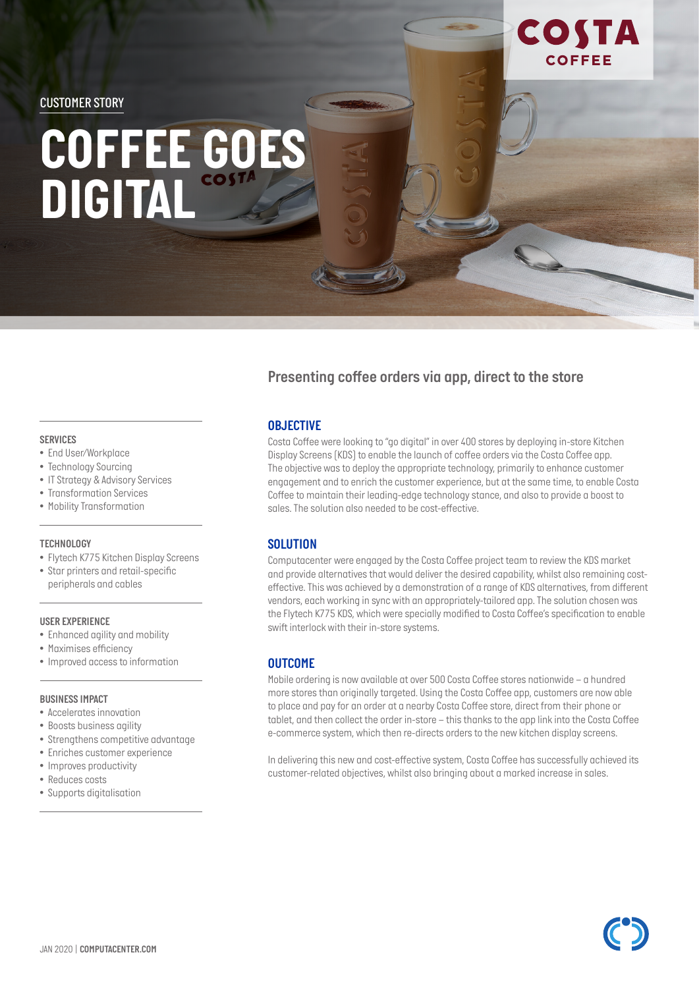*CUSTOMER STORY*

# *COFFEE GOES DIGITAL*

## *Presenting coffee orders via app, direct to the store*

### *OBJECTIVE*

*Costa Coffee were looking to "go digital" in over 400 stores by deploying in-store Kitchen Display Screens (KDS) to enable the launch of coffee orders via the Costa Coffee app. The objective was to deploy the appropriate technology, primarily to enhance customer engagement and to enrich the customer experience, but at the same time, to enable Costa Coffee to maintain their leading-edge technology stance, and also to provide a boost to sales. The solution also needed to be cost-effective.*

COSTA

**COFFEE** 

### *SOLUTION*

*Computacenter were engaged by the Costa Coffee project team to review the KDS market and provide alternatives that would deliver the desired capability, whilst also remaining costeffective. This was achieved by a demonstration of a range of KDS alternatives, from different vendors, each working in sync with an appropriately-tailored app. The solution chosen was the Flytech K775 KDS, which were specially modified to Costa Coffee's specification to enable swift interlock with their in-store systems.* 

### *OUTCOME*

*Mobile ordering is now available at over 500 Costa Coffee stores nationwide – a hundred more stores than originally targeted. Using the Costa Coffee app, customers are now able to place and pay for an order at a nearby Costa Coffee store, direct from their phone or tablet, and then collect the order in-store – this thanks to the app link into the Costa Coffee e-commerce system, which then re-directs orders to the new kitchen display screens.* 

*In delivering this new and cost-effective system, Costa Coffee has successfully achieved its customer-related objectives, whilst also bringing about a marked increase in sales.* 

- *SERVICES*
- *• End User/Workplace*
- *• Technology Sourcing*
- *• IT Strategy & Advisory Services*
- *• Transformation Services*
- *• Mobility Transformation*

#### *TECHNOLOGY*

- *• Flytech K775 Kitchen Display Screens*
- *Star printers and retail-specific peripherals and cables*

#### *USER EXPERIENCE*

- *• Enhanced agility and mobility*
- *• Maximises efficiency*
- *• Improved access to information*

#### *BUSINESS IMPACT*

- *• Accelerates innovation*
- *• Boosts business agility*
- *• Strengthens competitive advantage*
- *• Enriches customer experience*
- *• Improves productivity*
- *• Reduces costs*
- *• Supports digitalisation*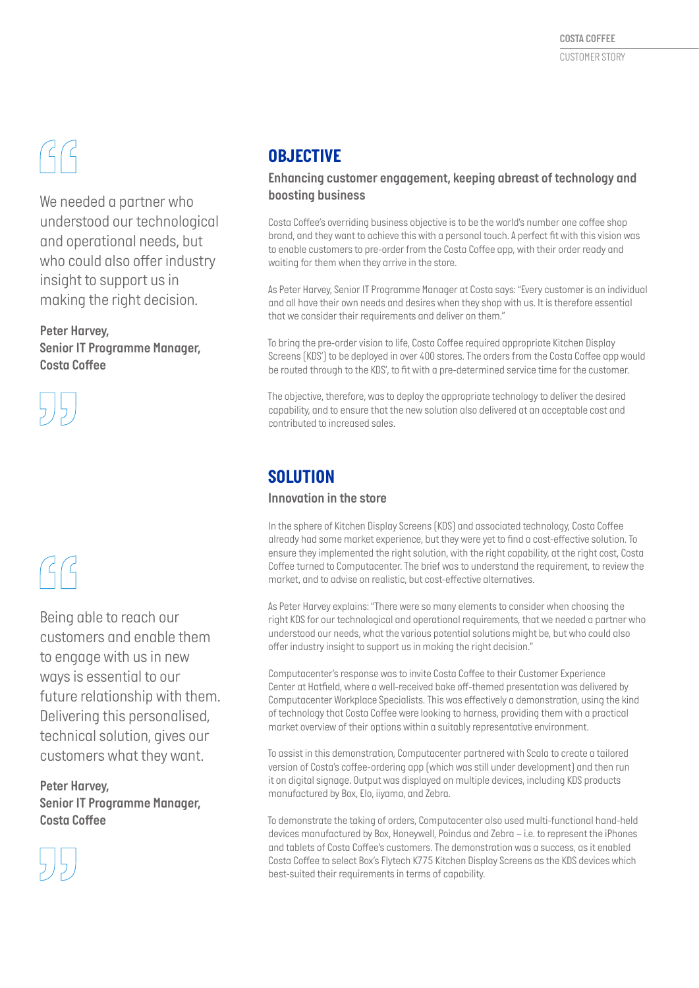# $GG$

*We needed a partner who understood our technological and operational needs, but who could also offer industry insight to support us in making the right decision.*

*Peter Harvey, Senior IT Programme Manager, Costa Coffee*



# $G$

*Being able to reach our customers and enable them to engage with us in new ways is essential to our future relationship with them. Delivering this personalised, technical solution, gives our customers what they want.*

*Peter Harvey, Senior IT Programme Manager, Costa Coffee*



# *OBJECTIVE*

*Enhancing customer engagement, keeping abreast of technology and boosting business*

*Costa Coffee's overriding business objective is to be the world's number one coffee shop brand, and they want to achieve this with a personal touch. A perfect fit with this vision was to enable customers to pre-order from the Costa Coffee app, with their order ready and waiting for them when they arrive in the store.* 

*As Peter Harvey, Senior IT Programme Manager at Costa says: "Every customer is an individual and all have their own needs and desires when they shop with us. It is therefore essential that we consider their requirements and deliver on them."*

*To bring the pre-order vision to life, Costa Coffee required appropriate Kitchen Display Screens (KDS') to be deployed in over 400 stores. The orders from the Costa Coffee app would be routed through to the KDS', to fit with a pre-determined service time for the customer.* 

*The objective, therefore, was to deploy the appropriate technology to deliver the desired capability, and to ensure that the new solution also delivered at an acceptable cost and contributed to increased sales.* 

# *SOLUTION*

## *Innovation in the store*

*In the sphere of Kitchen Display Screens (KDS) and associated technology, Costa Coffee already had some market experience, but they were yet to find a cost-effective solution. To ensure they implemented the right solution, with the right capability, at the right cost, Costa Coffee turned to Computacenter. The brief was to understand the requirement, to review the market, and to advise on realistic, but cost-effective alternatives.*

*As Peter Harvey explains: "There were so many elements to consider when choosing the right KDS for our technological and operational requirements, that we needed a partner who understood our needs, what the various potential solutions might be, but who could also offer industry insight to support us in making the right decision."*

*Computacenter's response was to invite Costa Coffee to their Customer Experience Center at Hatfield, where a well-received bake off-themed presentation was delivered by Computacenter Workplace Specialists. This was effectively a demonstration, using the kind of technology that Costa Coffee were looking to harness, providing them with a practical market overview of their options within a suitably representative environment.* 

*To assist in this demonstration, Computacenter partnered with Scala to create a tailored version of Costa's coffee-ordering app (which was still under development) and then run it on digital signage. Output was displayed on multiple devices, including KDS products manufactured by Box, Elo, iiyama, and Zebra.* 

*To demonstrate the taking of orders, Computacenter also used multi-functional hand-held devices manufactured by Box, Honeywell, Poindus and Zebra – i.e. to represent the iPhones and tablets of Costa Coffee's customers. The demonstration was a success, as it enabled Costa Coffee to select Box's Flytech K775 Kitchen Display Screens as the KDS devices which best-suited their requirements in terms of capability.*